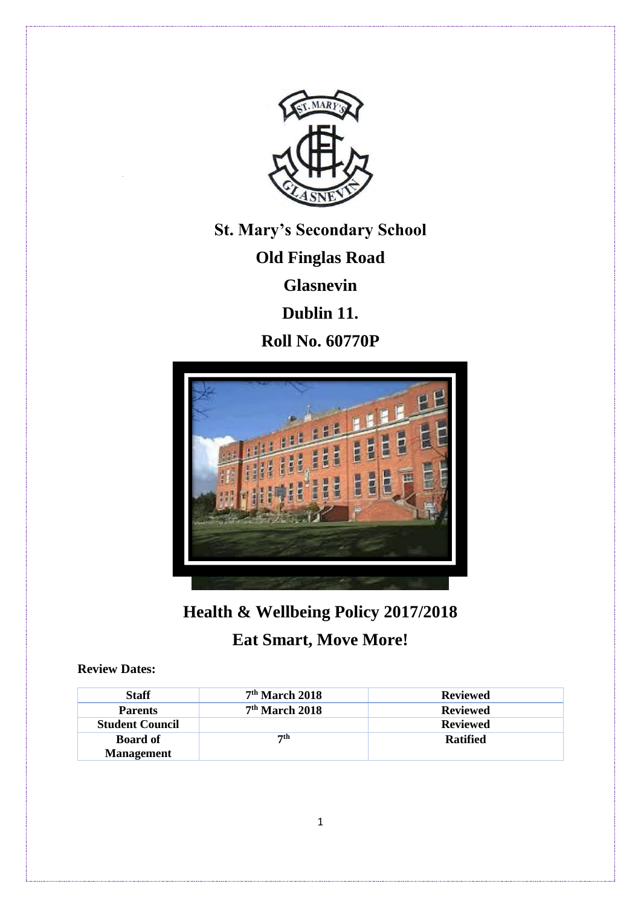

**St. Mary's Secondary School**

**Old Finglas Road**

**Glasnevin**

**Dublin 11.**

**Roll No. 60770P**



# **Health & Wellbeing Policy 2017/2018**

# **Eat Smart, Move More!**

**Review Dates:**

| <b>Staff</b>           | $7th$ March 2018 | <b>Reviewed</b> |
|------------------------|------------------|-----------------|
| <b>Parents</b>         | $7th$ March 2018 | <b>Reviewed</b> |
| <b>Student Council</b> |                  | <b>Reviewed</b> |
| <b>Board of</b>        | 7th              | <b>Ratified</b> |
| <b>Management</b>      |                  |                 |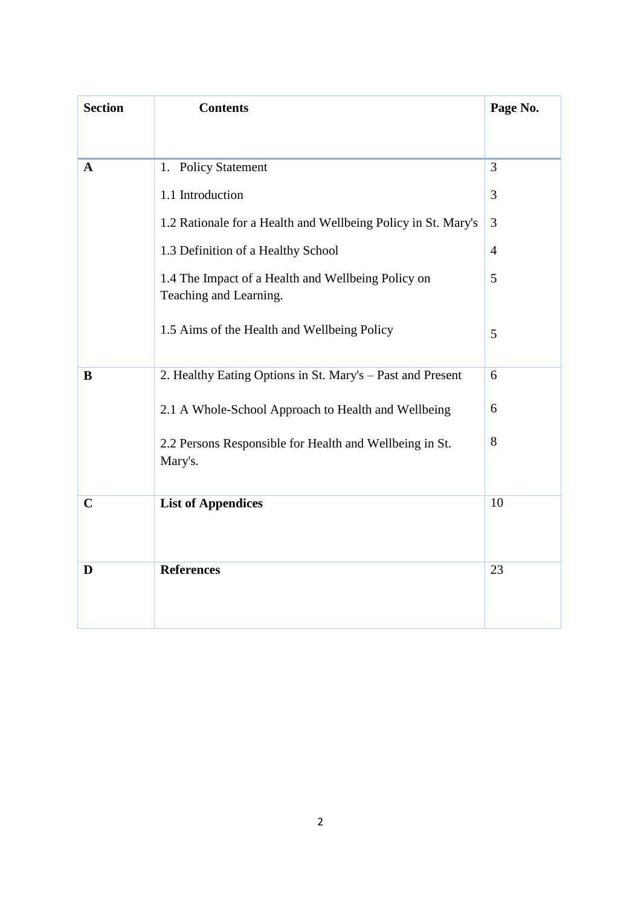| <b>Section</b> | <b>Contents</b>                                                              | Page No.       |
|----------------|------------------------------------------------------------------------------|----------------|
|                |                                                                              |                |
| $\mathbf{A}$   | 1. Policy Statement                                                          | 3              |
|                | 1.1 Introduction                                                             | 3              |
|                | 1.2 Rationale for a Health and Wellbeing Policy in St. Mary's                | 3              |
|                | 1.3 Definition of a Healthy School                                           | $\overline{4}$ |
|                | 1.4 The Impact of a Health and Wellbeing Policy on<br>Teaching and Learning. | 5              |
|                | 1.5 Aims of the Health and Wellbeing Policy                                  | 5              |
| B              | 2. Healthy Eating Options in St. Mary's - Past and Present                   | 6              |
|                | 2.1 A Whole-School Approach to Health and Wellbeing                          | 6              |
|                | 2.2 Persons Responsible for Health and Wellbeing in St.<br>Mary's.           | 8              |
| $\mathbf C$    | <b>List of Appendices</b>                                                    | 10             |
| D              | <b>References</b>                                                            | 23             |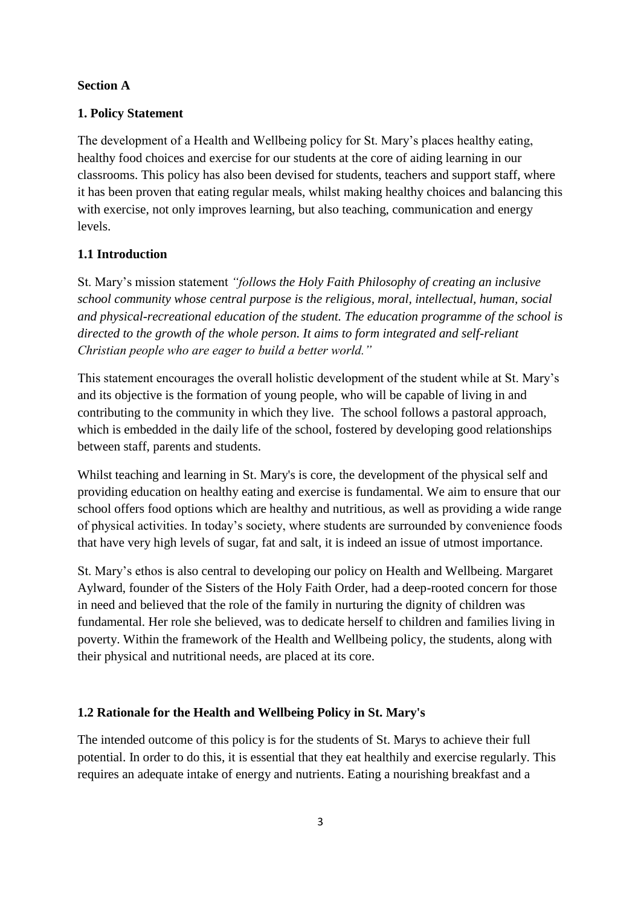#### **Section A**

#### **1. Policy Statement**

The development of a Health and Wellbeing policy for St. Mary's places healthy eating, healthy food choices and exercise for our students at the core of aiding learning in our classrooms. This policy has also been devised for students, teachers and support staff, where it has been proven that eating regular meals, whilst making healthy choices and balancing this with exercise, not only improves learning, but also teaching, communication and energy levels.

#### **1.1 Introduction**

St. Mary's mission statement *"follows the Holy Faith Philosophy of creating an inclusive school community whose central purpose is the religious, moral, intellectual, human, social and physical-recreational education of the student. The education programme of the school is directed to the growth of the whole person. It aims to form integrated and self-reliant Christian people who are eager to build a better world."* 

This statement encourages the overall holistic development of the student while at St. Mary's and its objective is the formation of young people, who will be capable of living in and contributing to the community in which they live. The school follows a pastoral approach, which is embedded in the daily life of the school, fostered by developing good relationships between staff, parents and students.

Whilst teaching and learning in St. Mary's is core, the development of the physical self and providing education on healthy eating and exercise is fundamental. We aim to ensure that our school offers food options which are healthy and nutritious, as well as providing a wide range of physical activities. In today's society, where students are surrounded by convenience foods that have very high levels of sugar, fat and salt, it is indeed an issue of utmost importance.

St. Mary's ethos is also central to developing our policy on Health and Wellbeing. Margaret Aylward, founder of the Sisters of the Holy Faith Order, had a deep-rooted concern for those in need and believed that the role of the family in nurturing the dignity of children was fundamental. Her role she believed, was to dedicate herself to children and families living in poverty. Within the framework of the Health and Wellbeing policy, the students, along with their physical and nutritional needs, are placed at its core.

#### **1.2 Rationale for the Health and Wellbeing Policy in St. Mary's**

The intended outcome of this policy is for the students of St. Marys to achieve their full potential. In order to do this, it is essential that they eat healthily and exercise regularly. This requires an adequate intake of energy and nutrients. Eating a nourishing breakfast and a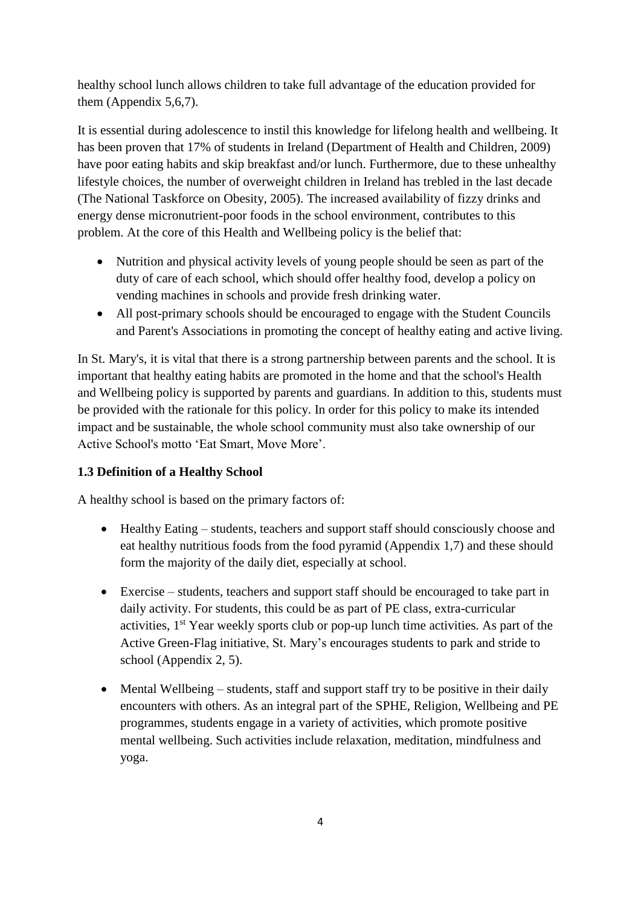healthy school lunch allows children to take full advantage of the education provided for them (Appendix 5,6,7).

It is essential during adolescence to instil this knowledge for lifelong health and wellbeing. It has been proven that 17% of students in Ireland (Department of Health and Children, 2009) have poor eating habits and skip breakfast and/or lunch. Furthermore, due to these unhealthy lifestyle choices, the number of overweight children in Ireland has trebled in the last decade (The National Taskforce on Obesity, 2005). The increased availability of fizzy drinks and energy dense micronutrient-poor foods in the school environment, contributes to this problem. At the core of this Health and Wellbeing policy is the belief that:

- Nutrition and physical activity levels of young people should be seen as part of the duty of care of each school, which should offer healthy food, develop a policy on vending machines in schools and provide fresh drinking water.
- All post-primary schools should be encouraged to engage with the Student Councils and Parent's Associations in promoting the concept of healthy eating and active living.

In St. Mary's, it is vital that there is a strong partnership between parents and the school. It is important that healthy eating habits are promoted in the home and that the school's Health and Wellbeing policy is supported by parents and guardians. In addition to this, students must be provided with the rationale for this policy. In order for this policy to make its intended impact and be sustainable, the whole school community must also take ownership of our Active School's motto 'Eat Smart, Move More'.

# **1.3 Definition of a Healthy School**

A healthy school is based on the primary factors of:

- Healthy Eating students, teachers and support staff should consciously choose and eat healthy nutritious foods from the food pyramid (Appendix 1,7) and these should form the majority of the daily diet, especially at school.
- Exercise students, teachers and support staff should be encouraged to take part in daily activity. For students, this could be as part of PE class, extra-curricular activities, 1st Year weekly sports club or pop-up lunch time activities. As part of the Active Green-Flag initiative, St. Mary's encourages students to park and stride to school (Appendix 2, 5).
- Mental Wellbeing students, staff and support staff try to be positive in their daily encounters with others. As an integral part of the SPHE, Religion, Wellbeing and PE programmes, students engage in a variety of activities, which promote positive mental wellbeing. Such activities include relaxation, meditation, mindfulness and yoga.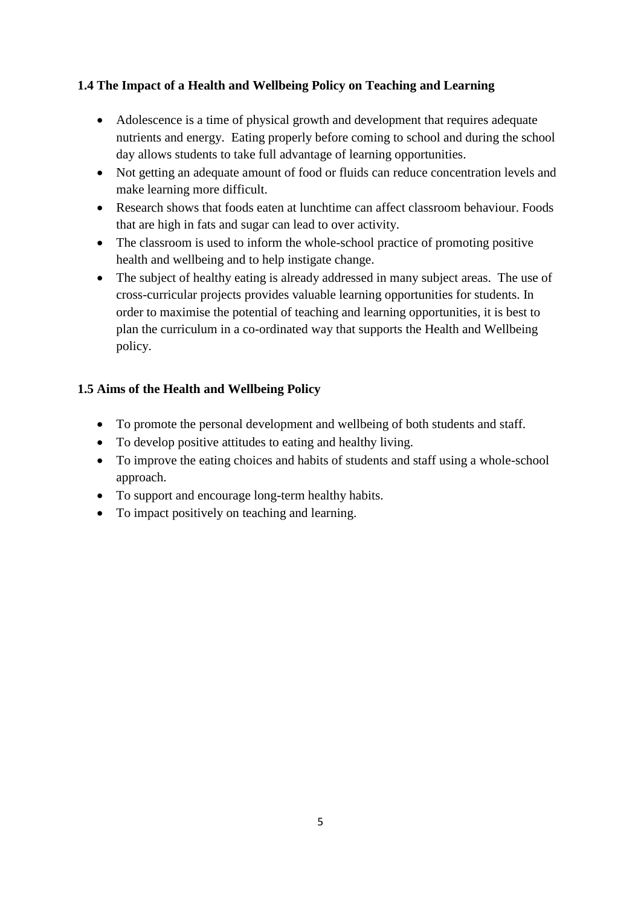# **1.4 The Impact of a Health and Wellbeing Policy on Teaching and Learning**

- Adolescence is a time of physical growth and development that requires adequate nutrients and energy. Eating properly before coming to school and during the school day allows students to take full advantage of learning opportunities.
- Not getting an adequate amount of food or fluids can reduce concentration levels and make learning more difficult.
- Research shows that foods eaten at lunchtime can affect classroom behaviour. Foods that are high in fats and sugar can lead to over activity.
- The classroom is used to inform the whole-school practice of promoting positive health and wellbeing and to help instigate change.
- The subject of healthy eating is already addressed in many subject areas. The use of cross-curricular projects provides valuable learning opportunities for students. In order to maximise the potential of teaching and learning opportunities, it is best to plan the curriculum in a co-ordinated way that supports the Health and Wellbeing policy.

# **1.5 Aims of the Health and Wellbeing Policy**

- To promote the personal development and wellbeing of both students and staff.
- To develop positive attitudes to eating and healthy living.
- To improve the eating choices and habits of students and staff using a whole-school approach.
- To support and encourage long-term healthy habits.
- To impact positively on teaching and learning.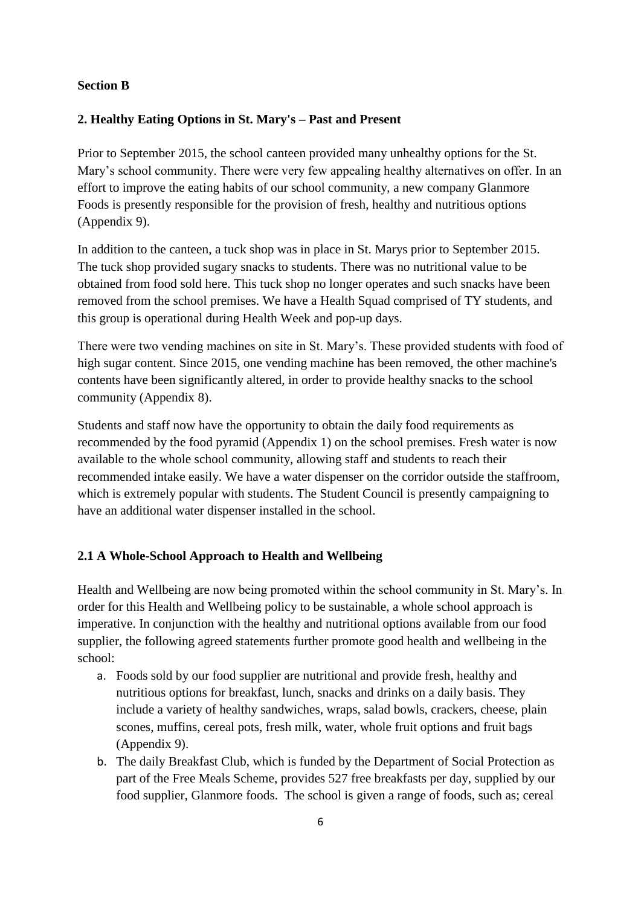#### **Section B**

### **2. Healthy Eating Options in St. Mary's – Past and Present**

Prior to September 2015, the school canteen provided many unhealthy options for the St. Mary's school community. There were very few appealing healthy alternatives on offer. In an effort to improve the eating habits of our school community, a new company Glanmore Foods is presently responsible for the provision of fresh, healthy and nutritious options (Appendix 9).

In addition to the canteen, a tuck shop was in place in St. Marys prior to September 2015. The tuck shop provided sugary snacks to students. There was no nutritional value to be obtained from food sold here. This tuck shop no longer operates and such snacks have been removed from the school premises. We have a Health Squad comprised of TY students, and this group is operational during Health Week and pop-up days.

There were two vending machines on site in St. Mary's. These provided students with food of high sugar content. Since 2015, one vending machine has been removed, the other machine's contents have been significantly altered, in order to provide healthy snacks to the school community (Appendix 8).

Students and staff now have the opportunity to obtain the daily food requirements as recommended by the food pyramid (Appendix 1) on the school premises. Fresh water is now available to the whole school community, allowing staff and students to reach their recommended intake easily. We have a water dispenser on the corridor outside the staffroom, which is extremely popular with students. The Student Council is presently campaigning to have an additional water dispenser installed in the school.

### **2.1 A Whole-School Approach to Health and Wellbeing**

Health and Wellbeing are now being promoted within the school community in St. Mary's. In order for this Health and Wellbeing policy to be sustainable, a whole school approach is imperative. In conjunction with the healthy and nutritional options available from our food supplier, the following agreed statements further promote good health and wellbeing in the school:

- a. Foods sold by our food supplier are nutritional and provide fresh, healthy and nutritious options for breakfast, lunch, snacks and drinks on a daily basis. They include a variety of healthy sandwiches, wraps, salad bowls, crackers, cheese, plain scones, muffins, cereal pots, fresh milk, water, whole fruit options and fruit bags (Appendix 9).
- b. The daily Breakfast Club, which is funded by the Department of Social Protection as part of the Free Meals Scheme, provides 527 free breakfasts per day, supplied by our food supplier, Glanmore foods. The school is given a range of foods, such as; cereal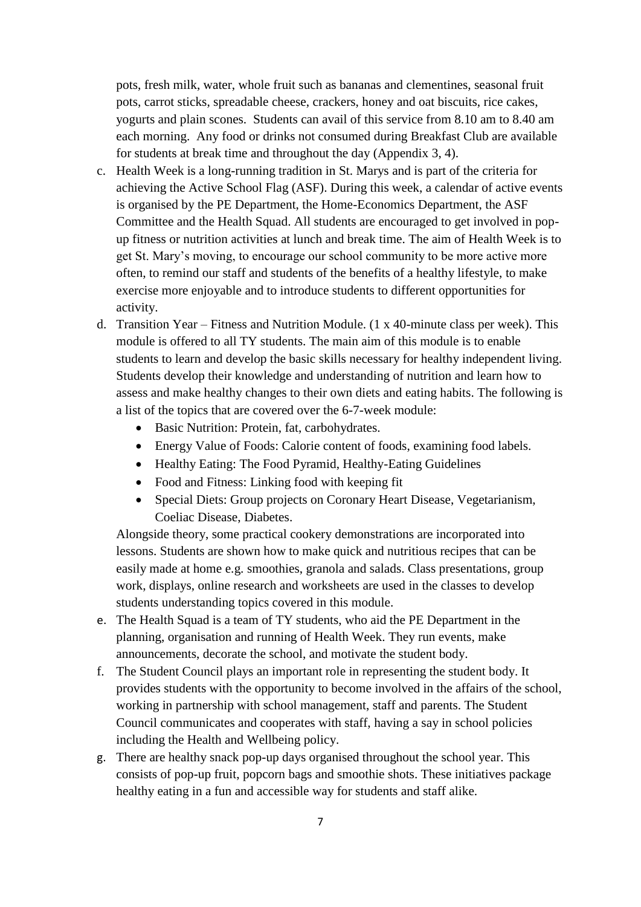pots, fresh milk, water, whole fruit such as bananas and clementines, seasonal fruit pots, carrot sticks, spreadable cheese, crackers, honey and oat biscuits, rice cakes, yogurts and plain scones. Students can avail of this service from 8.10 am to 8.40 am each morning. Any food or drinks not consumed during Breakfast Club are available for students at break time and throughout the day (Appendix 3, 4).

- c. Health Week is a long-running tradition in St. Marys and is part of the criteria for achieving the Active School Flag (ASF). During this week, a calendar of active events is organised by the PE Department, the Home-Economics Department, the ASF Committee and the Health Squad. All students are encouraged to get involved in popup fitness or nutrition activities at lunch and break time. The aim of Health Week is to get St. Mary's moving, to encourage our school community to be more active more often, to remind our staff and students of the benefits of a healthy lifestyle, to make exercise more enjoyable and to introduce students to different opportunities for activity.
- d. Transition Year Fitness and Nutrition Module. (1 x 40-minute class per week). This module is offered to all TY students. The main aim of this module is to enable students to learn and develop the basic skills necessary for healthy independent living. Students develop their knowledge and understanding of nutrition and learn how to assess and make healthy changes to their own diets and eating habits. The following is a list of the topics that are covered over the 6-7-week module:
	- Basic Nutrition: Protein, fat, carbohydrates.
	- Energy Value of Foods: Calorie content of foods, examining food labels.
	- Healthy Eating: The Food Pyramid, Healthy-Eating Guidelines
	- Food and Fitness: Linking food with keeping fit
	- Special Diets: Group projects on Coronary Heart Disease, Vegetarianism, Coeliac Disease, Diabetes.

Alongside theory, some practical cookery demonstrations are incorporated into lessons. Students are shown how to make quick and nutritious recipes that can be easily made at home e.g. smoothies, granola and salads. Class presentations, group work, displays, online research and worksheets are used in the classes to develop students understanding topics covered in this module.

- e. The Health Squad is a team of TY students, who aid the PE Department in the planning, organisation and running of Health Week. They run events, make announcements, decorate the school, and motivate the student body.
- f. The Student Council plays an important role in representing the student body. It provides students with the opportunity to become involved in the affairs of the school, working in partnership with school management, staff and parents. The Student Council communicates and cooperates with staff, having a say in school policies including the Health and Wellbeing policy.
- g. There are healthy snack pop-up days organised throughout the school year. This consists of pop-up fruit, popcorn bags and smoothie shots. These initiatives package healthy eating in a fun and accessible way for students and staff alike.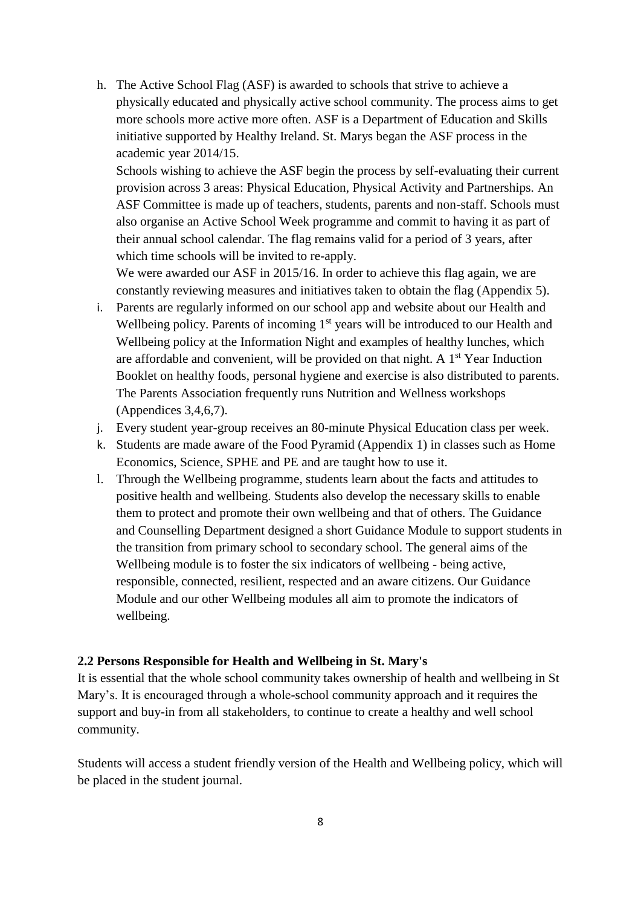h. The Active School Flag (ASF) is awarded to schools that strive to achieve a physically educated and physically active school community. The process aims to get more schools more active more often. ASF is a Department of Education and Skills initiative supported by Healthy Ireland. St. Marys began the ASF process in the academic year 2014/15.

Schools wishing to achieve the ASF begin the process by self-evaluating their current provision across 3 areas: Physical Education, Physical Activity and Partnerships. An ASF Committee is made up of teachers, students, parents and non-staff. Schools must also organise an Active School Week programme and commit to having it as part of their annual school calendar. The flag remains valid for a period of 3 years, after which time schools will be invited to re-apply.

We were awarded our ASF in 2015/16. In order to achieve this flag again, we are constantly reviewing measures and initiatives taken to obtain the flag (Appendix 5).

- i. Parents are regularly informed on our school app and website about our Health and Wellbeing policy. Parents of incoming 1<sup>st</sup> years will be introduced to our Health and Wellbeing policy at the Information Night and examples of healthy lunches, which are affordable and convenient, will be provided on that night. A  $1<sup>st</sup>$  Year Induction Booklet on healthy foods, personal hygiene and exercise is also distributed to parents. The Parents Association frequently runs Nutrition and Wellness workshops (Appendices 3,4,6,7).
- j. Every student year-group receives an 80-minute Physical Education class per week.
- k. Students are made aware of the Food Pyramid (Appendix 1) in classes such as Home Economics, Science, SPHE and PE and are taught how to use it.
- l. Through the Wellbeing programme, students learn about the facts and attitudes to positive health and wellbeing. Students also develop the necessary skills to enable them to protect and promote their own wellbeing and that of others. The Guidance and Counselling Department designed a short Guidance Module to support students in the transition from primary school to secondary school. The general aims of the Wellbeing module is to foster the six indicators of wellbeing - being active, responsible, connected, resilient, respected and an aware citizens. Our Guidance Module and our other Wellbeing modules all aim to promote the indicators of wellbeing.

#### **2.2 Persons Responsible for Health and Wellbeing in St. Mary's**

It is essential that the whole school community takes ownership of health and wellbeing in St Mary's. It is encouraged through a whole-school community approach and it requires the support and buy-in from all stakeholders, to continue to create a healthy and well school community.

Students will access a student friendly version of the Health and Wellbeing policy, which will be placed in the student journal.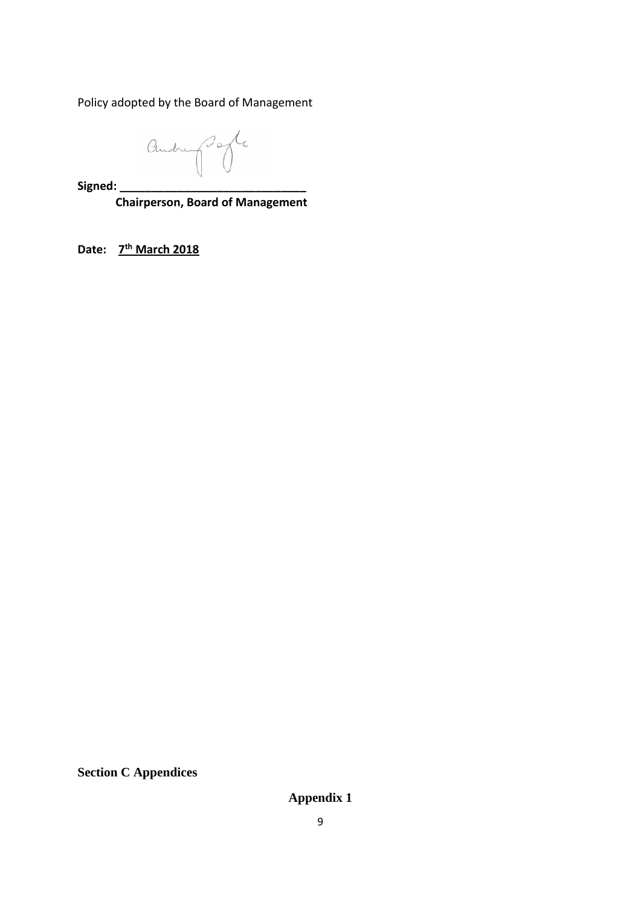Policy adopted by the Board of Management

andre porte

**Signed: \_\_\_\_\_\_\_\_\_\_\_\_\_\_\_\_\_\_\_\_\_\_\_\_\_\_\_\_\_**

 **Chairperson, Board of Management**

**Date: 7 th March 2018**

**Section C Appendices**

**Appendix 1**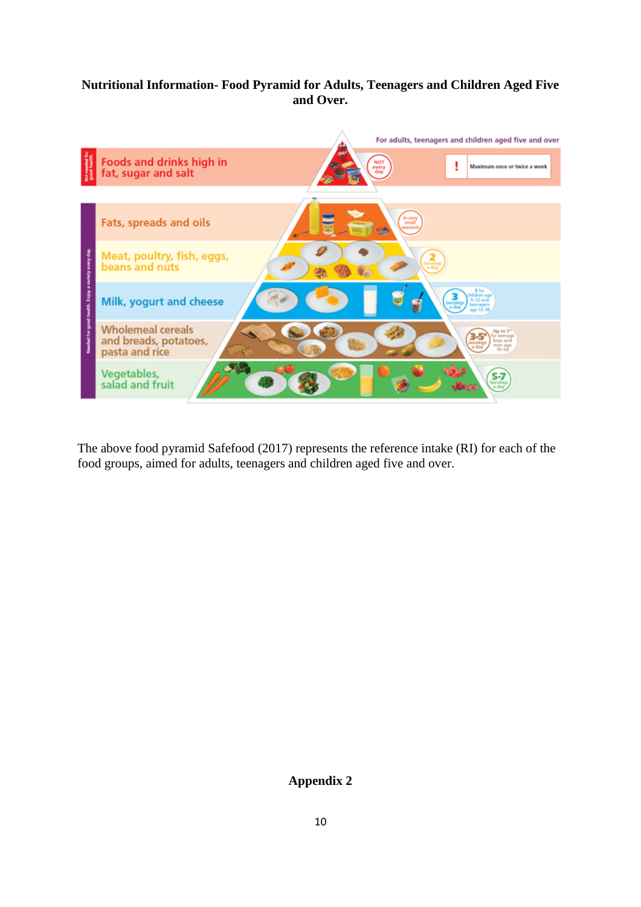### **Nutritional Information- Food Pyramid for Adults, Teenagers and Children Aged Five and Over.**



The above food pyramid Safefood (2017) represents the reference intake (RI) for each of the food groups, aimed for adults, teenagers and children aged five and over.

### **Appendix 2**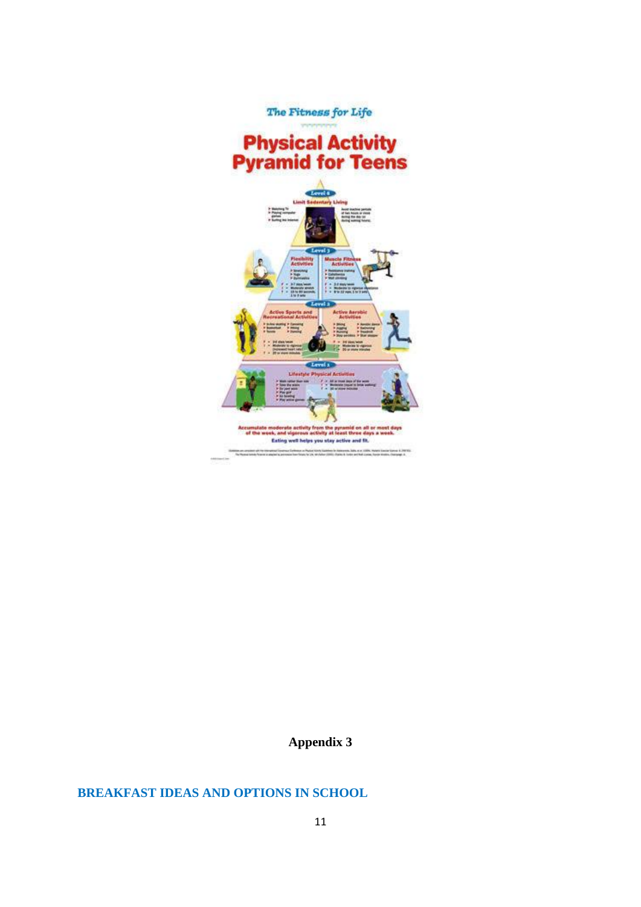

# **BREAKFAST IDEAS AND OPTIONS IN SCHOOL**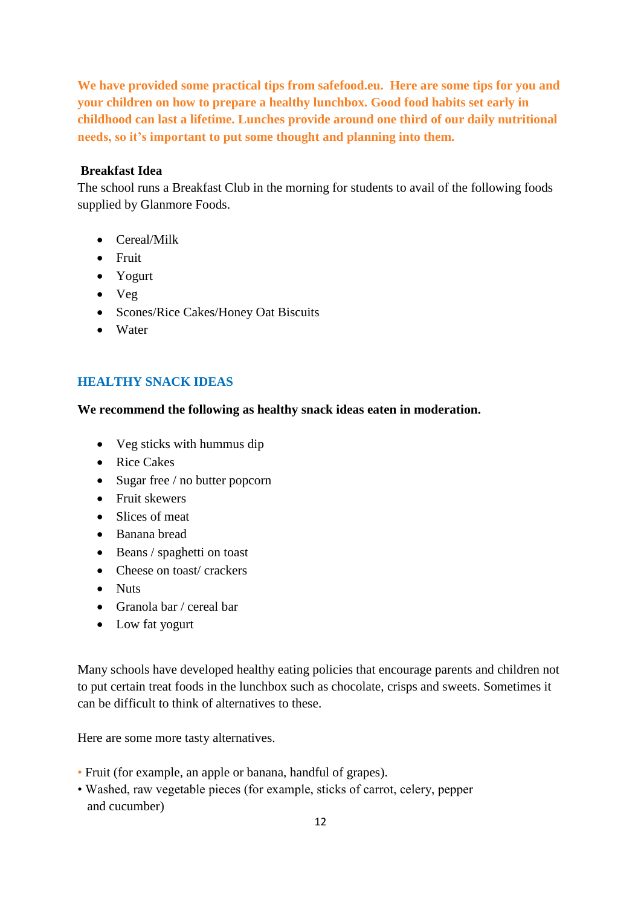**We have provided some practical tips from safefood.eu. Here are some tips for you and your children on how to prepare a healthy lunchbox. Good food habits set early in childhood can last a lifetime. Lunches provide around one third of our daily nutritional needs, so it's important to put some thought and planning into them.**

#### **Breakfast Idea**

The school runs a Breakfast Club in the morning for students to avail of the following foods supplied by Glanmore Foods.

- Cereal/Milk
- Fruit
- Yogurt
- Veg
- Scones/Rice Cakes/Honey Oat Biscuits
- Water

# **HEALTHY SNACK IDEAS**

#### **We recommend the following as healthy snack ideas eaten in moderation.**

- Veg sticks with hummus dip
- Rice Cakes
- Sugar free / no butter popcorn
- Fruit skewers
- Slices of meat
- Banana bread
- Beans / spaghetti on toast
- Cheese on toast/crackers
- Nuts
- Granola bar / cereal bar
- Low fat yogurt

Many schools have developed healthy eating policies that encourage parents and children not to put certain treat foods in the lunchbox such as chocolate, crisps and sweets. Sometimes it can be difficult to think of alternatives to these.

Here are some more tasty alternatives.

- Fruit (for example, an apple or banana, handful of grapes).
- Washed, raw vegetable pieces (for example, sticks of carrot, celery, pepper and cucumber)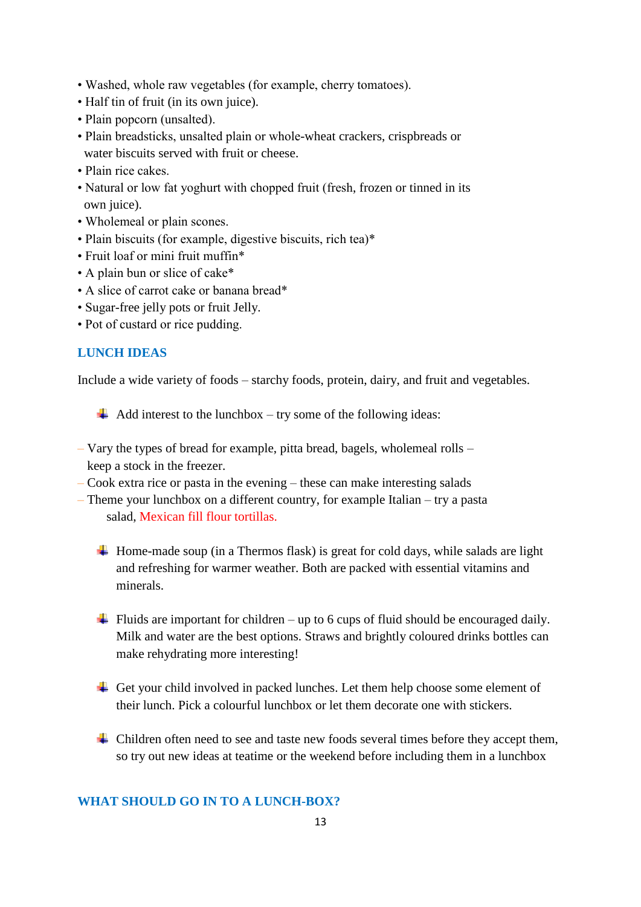- Washed, whole raw vegetables (for example, cherry tomatoes).
- Half tin of fruit (in its own juice).
- Plain popcorn (unsalted).
- Plain breadsticks, unsalted plain or whole-wheat crackers, crispbreads or water biscuits served with fruit or cheese.
- Plain rice cakes.
- Natural or low fat yoghurt with chopped fruit (fresh, frozen or tinned in its own juice).
- Wholemeal or plain scones.
- Plain biscuits (for example, digestive biscuits, rich tea)\*
- Fruit loaf or mini fruit muffin\*
- A plain bun or slice of cake\*
- A slice of carrot cake or banana bread\*
- Sugar-free jelly pots or fruit Jelly.
- Pot of custard or rice pudding.

### **LUNCH IDEAS**

Include a wide variety of foods – starchy foods, protein, dairy, and fruit and vegetables.

 $\overline{\phantom{a}}$  Add interest to the lunchbox – try some of the following ideas:

- Vary the types of bread for example, pitta bread, bagels, wholemeal rolls keep a stock in the freezer.
- Cook extra rice or pasta in the evening these can make interesting salads
- Theme your lunchbox on a different country, for example Italian try a pasta salad, Mexican fill flour tortillas.
	- $\overline{\phantom{a}}$  Home-made soup (in a Thermos flask) is great for cold days, while salads are light and refreshing for warmer weather. Both are packed with essential vitamins and minerals.
	- $\ddot{\bullet}$  Fluids are important for children up to 6 cups of fluid should be encouraged daily. Milk and water are the best options. Straws and brightly coloured drinks bottles can make rehydrating more interesting!
	- $\overline{\phantom{a}}$  Get your child involved in packed lunches. Let them help choose some element of their lunch. Pick a colourful lunchbox or let them decorate one with stickers.
	- $\overline{\phantom{a} \bullet}$  Children often need to see and taste new foods several times before they accept them, so try out new ideas at teatime or the weekend before including them in a lunchbox

#### **WHAT SHOULD GO IN TO A LUNCH-BOX?**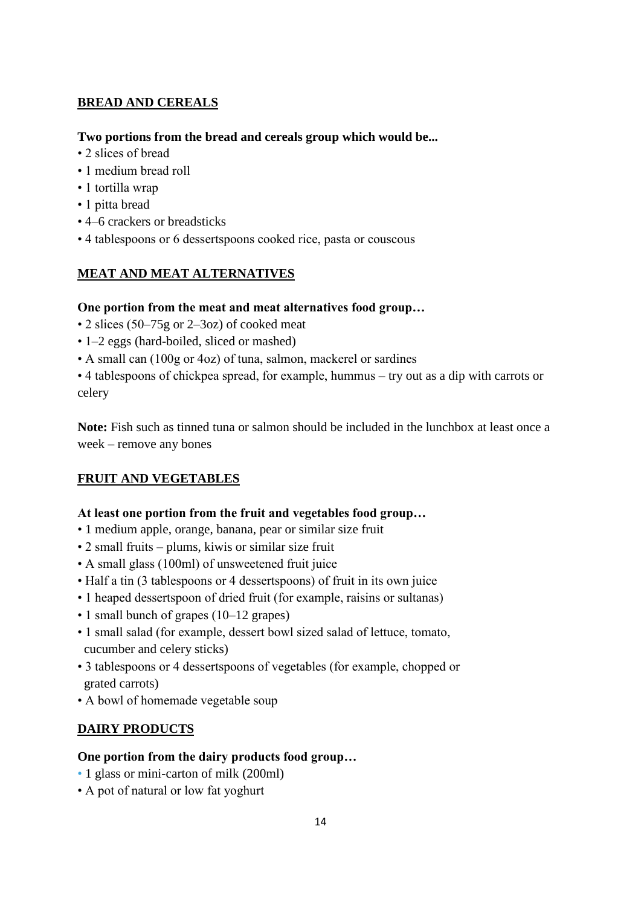# **BREAD AND CEREALS**

### **Two portions from the bread and cereals group which would be...**

- 2 slices of bread
- 1 medium bread roll
- 1 tortilla wrap
- 1 pitta bread
- 4–6 crackers or breadsticks
- 4 tablespoons or 6 dessertspoons cooked rice, pasta or couscous

# **MEAT AND MEAT ALTERNATIVES**

### **One portion from the meat and meat alternatives food group…**

- 2 slices (50–75g or 2–3oz) of cooked meat
- 1–2 eggs (hard-boiled, sliced or mashed)
- A small can (100g or 4oz) of tuna, salmon, mackerel or sardines

• 4 tablespoons of chickpea spread, for example, hummus – try out as a dip with carrots or celery

**Note:** Fish such as tinned tuna or salmon should be included in the lunchbox at least once a week – remove any bones

# **FRUIT AND VEGETABLES**

### **At least one portion from the fruit and vegetables food group…**

- 1 medium apple, orange, banana, pear or similar size fruit
- 2 small fruits plums, kiwis or similar size fruit
- A small glass (100ml) of unsweetened fruit juice
- Half a tin (3 tablespoons or 4 dessertspoons) of fruit in its own juice
- 1 heaped dessertspoon of dried fruit (for example, raisins or sultanas)
- 1 small bunch of grapes (10–12 grapes)
- 1 small salad (for example, dessert bowl sized salad of lettuce, tomato, cucumber and celery sticks)
- 3 tablespoons or 4 dessertspoons of vegetables (for example, chopped or grated carrots)
- A bowl of homemade vegetable soup

# **DAIRY PRODUCTS**

### **One portion from the dairy products food group…**

- 1 glass or mini-carton of milk (200ml)
- A pot of natural or low fat yoghurt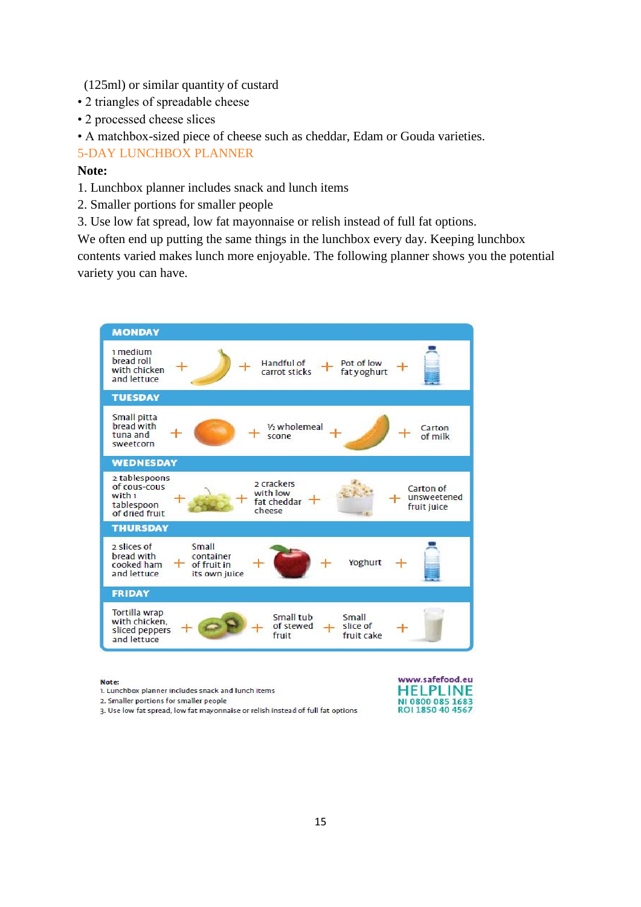- (125ml) or similar quantity of custard
- 2 triangles of spreadable cheese
- 2 processed cheese slices
- A matchbox-sized piece of cheese such as cheddar, Edam or Gouda varieties.

### 5-DAY LUNCHBOX PLANNER

#### **Note:**

- 1. Lunchbox planner includes snack and lunch items
- 2. Smaller portions for smaller people
- 3. Use low fat spread, low fat mayonnaise or relish instead of full fat options.

We often end up putting the same things in the lunchbox every day. Keeping lunchbox contents varied makes lunch more enjoyable. The following planner shows you the potential variety you can have.



#### Note:

1. Lunchbox planner includes snack and lunch items

2. Smaller portions for smaller people



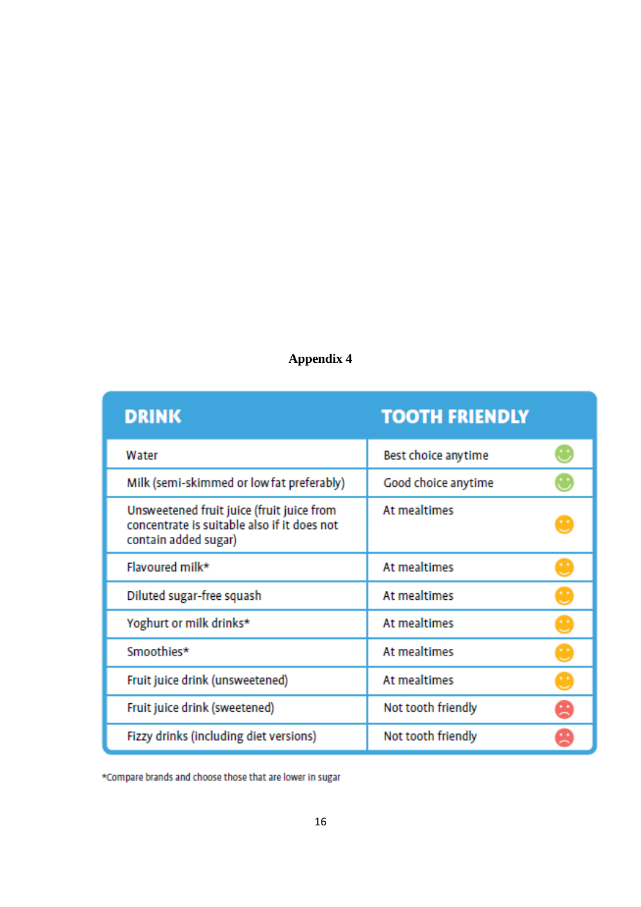| <b>DRINK</b>                                                                                                     | <b>TOOTH FRIENDLY</b> |                |
|------------------------------------------------------------------------------------------------------------------|-----------------------|----------------|
| Water                                                                                                            | Best choice anytime   | $\ddot{\circ}$ |
| Milk (semi-skimmed or low fat preferably)                                                                        | Good choice anytime   | U              |
| Unsweetened fruit juice (fruit juice from<br>concentrate is suitable also if it does not<br>contain added sugar) | At mealtimes          |                |
| Flavoured milk*                                                                                                  | At mealtimes          | Ω              |
| Diluted sugar-free squash                                                                                        | At mealtimes          | U              |
| Yoghurt or milk drinks*                                                                                          | At mealtimes          | U              |
| Smoothies*                                                                                                       | At mealtimes          | U              |
| Fruit juice drink (unsweetened)                                                                                  | At mealtimes          | U              |
| Fruit juice drink (sweetened)                                                                                    | Not tooth friendly    | 9              |
| Fizzy drinks (including diet versions)                                                                           | Not tooth friendly    |                |

\*Compare brands and choose those that are lower in sugar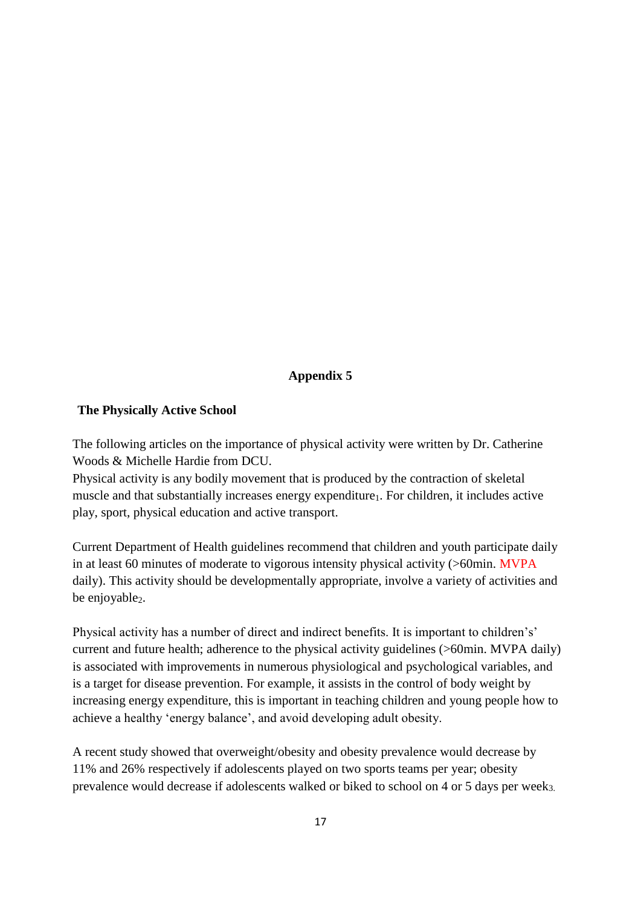#### **The Physically Active School**

The following articles on the importance of physical activity were written by Dr. Catherine Woods & Michelle Hardie from DCU.

Physical activity is any bodily movement that is produced by the contraction of skeletal muscle and that substantially increases energy expenditure<sub>1</sub>. For children, it includes active play, sport, physical education and active transport.

Current Department of Health guidelines recommend that children and youth participate daily in at least 60 minutes of moderate to vigorous intensity physical activity (>60min. MVPA daily). This activity should be developmentally appropriate, involve a variety of activities and be enjoyable<sub>2</sub>.

Physical activity has a number of direct and indirect benefits. It is important to children's' current and future health; adherence to the physical activity guidelines (>60min. MVPA daily) is associated with improvements in numerous physiological and psychological variables, and is a target for disease prevention. For example, it assists in the control of body weight by increasing energy expenditure, this is important in teaching children and young people how to achieve a healthy 'energy balance', and avoid developing adult obesity.

A recent study showed that overweight/obesity and obesity prevalence would decrease by 11% and 26% respectively if adolescents played on two sports teams per year; obesity prevalence would decrease if adolescents walked or biked to school on 4 or 5 days per week<sub>3.</sub>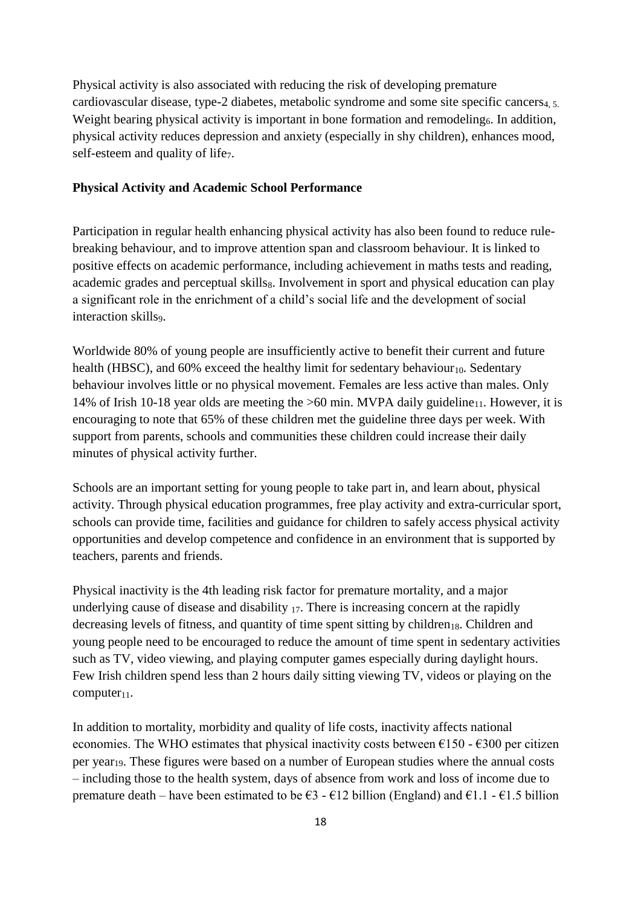Physical activity is also associated with reducing the risk of developing premature cardiovascular disease, type-2 diabetes, metabolic syndrome and some site specific cancers<sub>4, 5</sub>. Weight bearing physical activity is important in bone formation and remodeling<sub>6</sub>. In addition, physical activity reduces depression and anxiety (especially in shy children), enhances mood, self-esteem and quality of life<sub>7</sub>.

#### **Physical Activity and Academic School Performance**

Participation in regular health enhancing physical activity has also been found to reduce rulebreaking behaviour, and to improve attention span and classroom behaviour. It is linked to positive effects on academic performance, including achievement in maths tests and reading, academic grades and perceptual skillss. Involvement in sport and physical education can play a significant role in the enrichment of a child's social life and the development of social interaction skills9.

Worldwide 80% of young people are insufficiently active to benefit their current and future health (HBSC), and  $60\%$  exceed the healthy limit for sedentary behaviour<sub>10</sub>. Sedentary behaviour involves little or no physical movement. Females are less active than males. Only 14% of Irish 10-18 year olds are meeting the  $>60$  min. MVPA daily guideline<sub>11</sub>. However, it is encouraging to note that 65% of these children met the guideline three days per week. With support from parents, schools and communities these children could increase their daily minutes of physical activity further.

Schools are an important setting for young people to take part in, and learn about, physical activity. Through physical education programmes, free play activity and extra-curricular sport, schools can provide time, facilities and guidance for children to safely access physical activity opportunities and develop competence and confidence in an environment that is supported by teachers, parents and friends.

Physical inactivity is the 4th leading risk factor for premature mortality, and a major underlying cause of disease and disability  $_{17}$ . There is increasing concern at the rapidly decreasing levels of fitness, and quantity of time spent sitting by children<sub>18</sub>. Children and young people need to be encouraged to reduce the amount of time spent in sedentary activities such as TV, video viewing, and playing computer games especially during daylight hours. Few Irish children spend less than 2 hours daily sitting viewing TV, videos or playing on the  $computer_{11}$ .

In addition to mortality, morbidity and quality of life costs, inactivity affects national economies. The WHO estimates that physical inactivity costs between  $\epsilon$ 150 -  $\epsilon$ 300 per citizen per year19. These figures were based on a number of European studies where the annual costs – including those to the health system, days of absence from work and loss of income due to premature death – have been estimated to be  $\epsilon$ 3 -  $\epsilon$ 12 billion (England) and  $\epsilon$ 1.1 -  $\epsilon$ 1.5 billion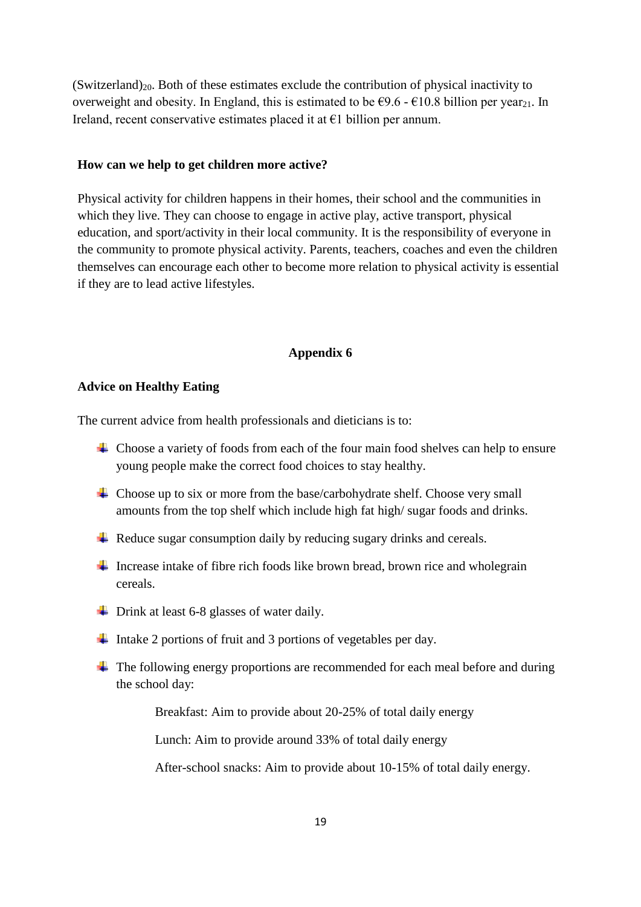$(Switzerland)_{20}$ . Both of these estimates exclude the contribution of physical inactivity to overweight and obesity. In England, this is estimated to be  $\epsilon$ 9.6 -  $\epsilon$ 10.8 billion per year<sub>21</sub>. In Ireland, recent conservative estimates placed it at  $\epsilon$ 1 billion per annum.

#### **How can we help to get children more active?**

Physical activity for children happens in their homes, their school and the communities in which they live. They can choose to engage in active play, active transport, physical education, and sport/activity in their local community. It is the responsibility of everyone in the community to promote physical activity. Parents, teachers, coaches and even the children themselves can encourage each other to become more relation to physical activity is essential if they are to lead active lifestyles.

#### **Appendix 6**

#### **Advice on Healthy Eating**

The current advice from health professionals and dieticians is to:

- $\overline{\phantom{a}}$  Choose a variety of foods from each of the four main food shelves can help to ensure young people make the correct food choices to stay healthy.
- $\overline{\phantom{a}}$  Choose up to six or more from the base/carbohydrate shelf. Choose very small amounts from the top shelf which include high fat high/ sugar foods and drinks.
- $\overline{\phantom{a}}$  Reduce sugar consumption daily by reducing sugary drinks and cereals.
- Increase intake of fibre rich foods like brown bread, brown rice and wholegrain cereals.
- $\downarrow$  Drink at least 6-8 glasses of water daily.
- Intake 2 portions of fruit and 3 portions of vegetables per day.
- $\overline{\phantom{a}}$  The following energy proportions are recommended for each meal before and during the school day:

Breakfast: Aim to provide about 20-25% of total daily energy

Lunch: Aim to provide around 33% of total daily energy

After-school snacks: Aim to provide about 10-15% of total daily energy.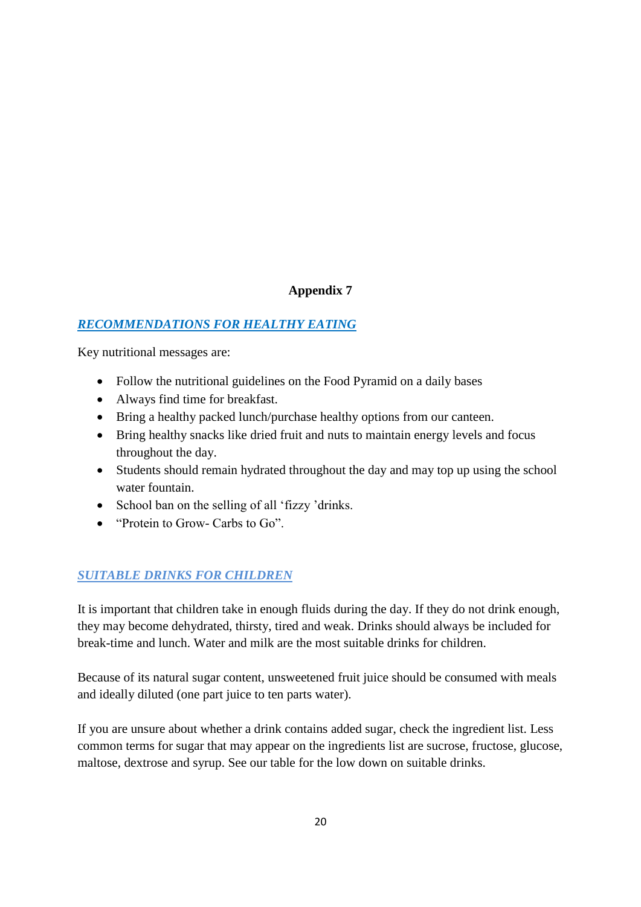# *RECOMMENDATIONS FOR HEALTHY EATING*

Key nutritional messages are:

- Follow the nutritional guidelines on the Food Pyramid on a daily bases
- Always find time for breakfast.
- Bring a healthy packed lunch/purchase healthy options from our canteen.
- Bring healthy snacks like dried fruit and nuts to maintain energy levels and focus throughout the day.
- Students should remain hydrated throughout the day and may top up using the school water fountain.
- School ban on the selling of all 'fizzy 'drinks.
- "Protein to Grow- Carbs to Go"

# *SUITABLE DRINKS FOR CHILDREN*

It is important that children take in enough fluids during the day. If they do not drink enough, they may become dehydrated, thirsty, tired and weak. Drinks should always be included for break-time and lunch. Water and milk are the most suitable drinks for children.

Because of its natural sugar content, unsweetened fruit juice should be consumed with meals and ideally diluted (one part juice to ten parts water).

If you are unsure about whether a drink contains added sugar, check the ingredient list. Less common terms for sugar that may appear on the ingredients list are sucrose, fructose, glucose, maltose, dextrose and syrup. See our table for the low down on suitable drinks.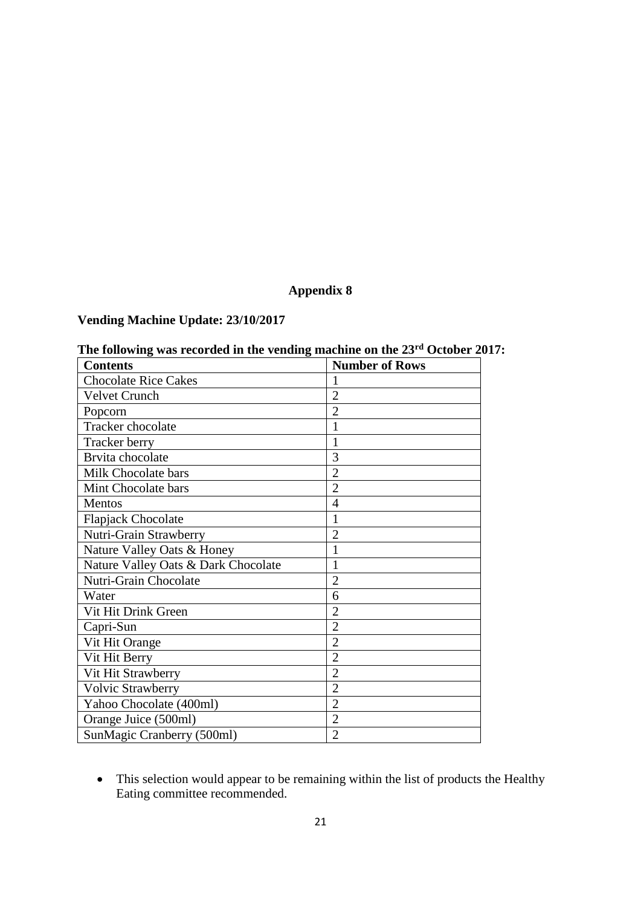# **Vending Machine Update: 23/10/2017**

| <b>Number of Rows</b> |
|-----------------------|
|                       |
| $\overline{2}$        |
| $\overline{2}$        |
|                       |
|                       |
| 3                     |
| $\overline{2}$        |
| $\overline{2}$        |
| 4                     |
| 1                     |
| $\overline{2}$        |
| $\mathbf{1}$          |
| 1                     |
| $\overline{2}$        |
| 6                     |
| $\overline{2}$        |
| 2                     |
| $\overline{2}$        |
| $\overline{2}$        |
| $\overline{2}$        |
| $\overline{2}$        |
| $\overline{2}$        |
| $\overline{2}$        |
| $\overline{2}$        |
|                       |

# **The following was recorded in the vending machine on the 23rd October 2017:**

 This selection would appear to be remaining within the list of products the Healthy Eating committee recommended.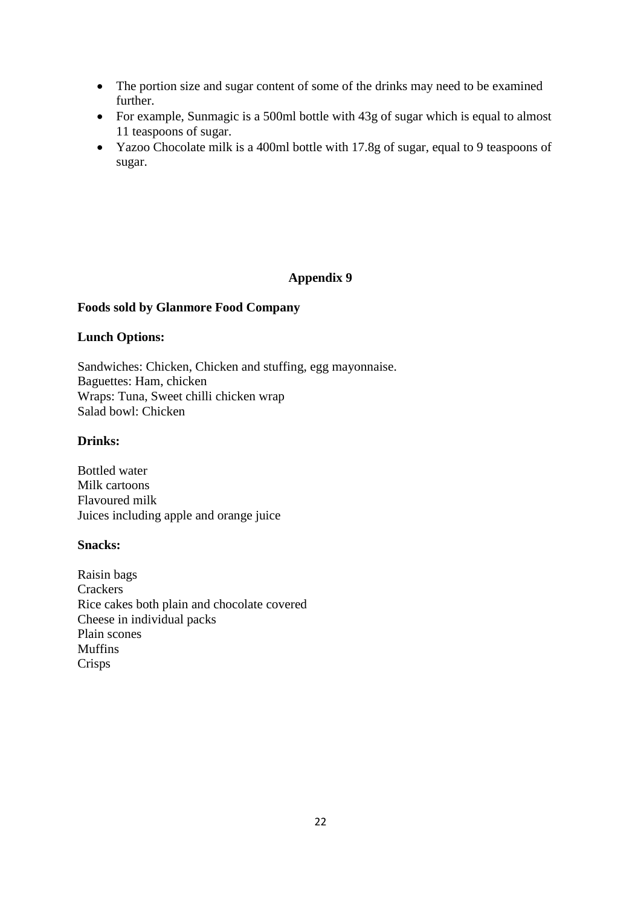- The portion size and sugar content of some of the drinks may need to be examined further.
- For example, Sunmagic is a 500ml bottle with 43g of sugar which is equal to almost 11 teaspoons of sugar.
- Yazoo Chocolate milk is a 400ml bottle with 17.8g of sugar, equal to 9 teaspoons of sugar.

#### **Foods sold by Glanmore Food Company**

#### **Lunch Options:**

Sandwiches: Chicken, Chicken and stuffing, egg mayonnaise. Baguettes: Ham, chicken Wraps: Tuna, Sweet chilli chicken wrap Salad bowl: Chicken

### **Drinks:**

Bottled water Milk cartoons Flavoured milk Juices including apple and orange juice

#### **Snacks:**

Raisin bags **Crackers** Rice cakes both plain and chocolate covered Cheese in individual packs Plain scones Muffins Crisps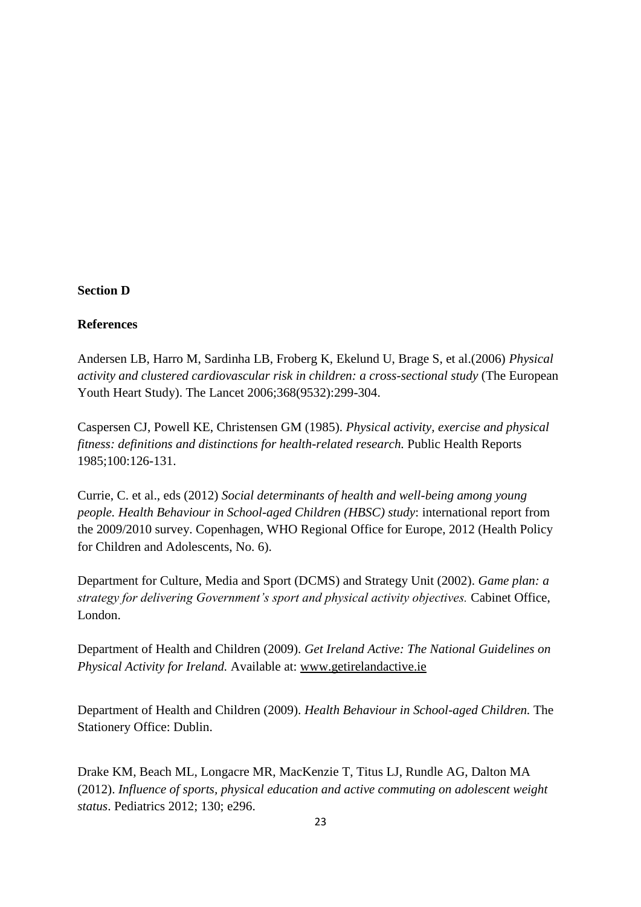#### **Section D**

#### **References**

Andersen LB, Harro M, Sardinha LB, Froberg K, Ekelund U, Brage S, et al.(2006) *Physical activity and clustered cardiovascular risk in children: a cross-sectional study* (The European Youth Heart Study). The Lancet 2006;368(9532):299-304.

Caspersen CJ, Powell KE, Christensen GM (1985). *Physical activity, exercise and physical fitness: definitions and distinctions for health-related research.* Public Health Reports 1985;100:126-131.

Currie, C. et al., eds (2012) *Social determinants of health and well-being among young people. Health Behaviour in School-aged Children (HBSC) study*: international report from the 2009/2010 survey. Copenhagen, WHO Regional Office for Europe, 2012 (Health Policy for Children and Adolescents, No. 6).

Department for Culture, Media and Sport (DCMS) and Strategy Unit (2002). *Game plan: a strategy for delivering Government's sport and physical activity objectives.* Cabinet Office, London.

Department of Health and Children (2009). *Get Ireland Active: The National Guidelines on Physical Activity for Ireland.* Available at: [www.getirelandactive.ie](http://www.getirelandactive.ie/)

Department of Health and Children (2009). *Health Behaviour in School-aged Children.* The Stationery Office: Dublin.

Drake KM, Beach ML, Longacre MR, MacKenzie T, Titus LJ, Rundle AG, Dalton MA (2012). *Influence of sports, physical education and active commuting on adolescent weight status*. Pediatrics 2012; 130; e296.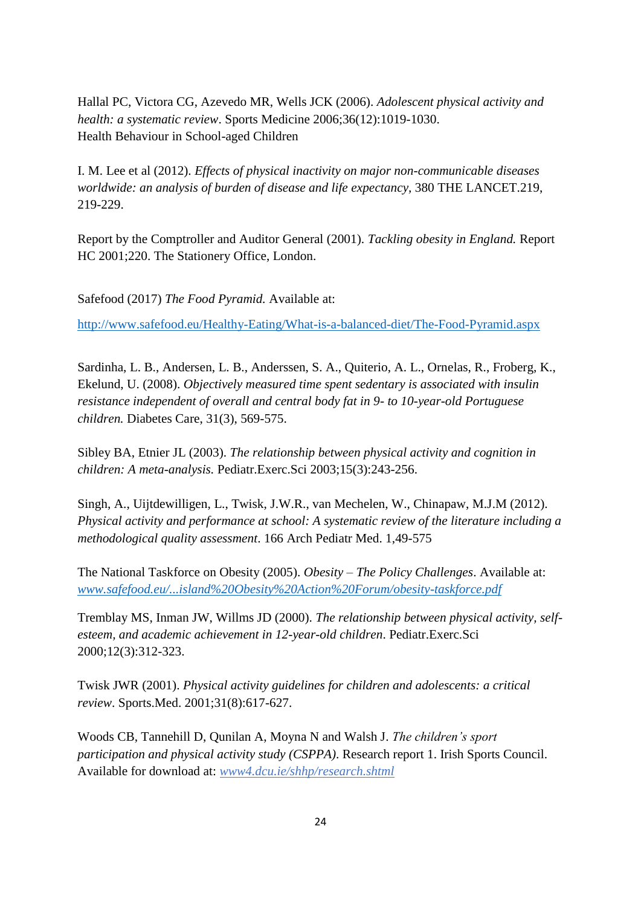Hallal PC, Victora CG, Azevedo MR, Wells JCK (2006). *Adolescent physical activity and health: a systematic review*. Sports Medicine 2006;36(12):1019-1030. Health Behaviour in School-aged Children

I. M. Lee et al (2012). *Effects of physical inactivity on major non-communicable diseases worldwide: an analysis of burden of disease and life expectancy,* 380 THE LANCET.219, 219-229.

Report by the Comptroller and Auditor General (2001). *Tackling obesity in England.* Report HC 2001;220. The Stationery Office, London.

Safefood (2017) *The Food Pyramid.* Available at:

<http://www.safefood.eu/Healthy-Eating/What-is-a-balanced-diet/The-Food-Pyramid.aspx>

Sardinha, L. B., Andersen, L. B., Anderssen, S. A., Quiterio, A. L., Ornelas, R., Froberg, K., Ekelund, U. (2008). *Objectively measured time spent sedentary is associated with insulin resistance independent of overall and central body fat in 9- to 10-year-old Portuguese children.* Diabetes Care, 31(3), 569-575.

Sibley BA, Etnier JL (2003). *The relationship between physical activity and cognition in children: A meta-analysis.* Pediatr.Exerc.Sci 2003;15(3):243-256.

Singh, A., Uijtdewilligen, L., Twisk, J.W.R., van Mechelen, W., Chinapaw, M.J.M (2012). *Physical activity and performance at school: A systematic review of the literature including a methodological quality assessment*. 166 Arch Pediatr Med. 1,49-575

The National Taskforce on Obesity (2005). *Obesity – The Policy Challenges*. Available at: *www.safefood.eu/...island%20Obesity%20Action%20Forum/obesity-taskforce.pdf*

Tremblay MS, Inman JW, Willms JD (2000). *The relationship between physical activity, selfesteem, and academic achievement in 12-year-old children*. Pediatr.Exerc.Sci 2000;12(3):312-323.

Twisk JWR (2001). *Physical activity guidelines for children and adolescents: a critical review*. Sports.Med. 2001;31(8):617-627.

Woods CB, Tannehill D, Qunilan A, Moyna N and Walsh J. *The children's sport participation and physical activity study (CSPPA)*. Research report 1. Irish Sports Council. Available for download at: *www4.dcu.ie/shhp/research.shtml*